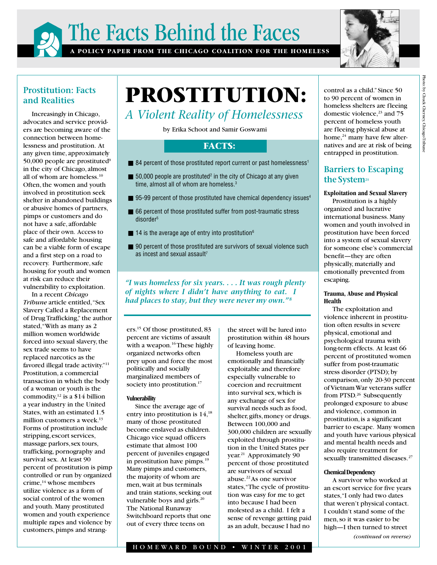



## **Prostitution: Facts and Realities**

Increasingly in Chicago, advocates and service providers are becoming aware of the connection between homelessness and prostitution. At any given time, approximately 50,000 people are prostituted<sup>9</sup> in the city of Chicago, almost all of whom are homeless.10 Often, the women and youth involved in prostitution seek shelter in abandoned buildings or abusive homes of partners, pimps or customers and do not have a safe, affordable place of their own. Access to safe and affordable housing can be a viable form of escape and a first step on a road to recovery. Furthermore, safe housing for youth and women at risk can reduce their vulnerability to exploitation.

In a recent *Chicago Tribune* article entitled, "Sex Slavery Called a Replacement of Drug Trafficking," the author stated, "With as many as 2 million women worldwide forced into sexual slavery, the sex trade seems to have replaced narcotics as the favored illegal trade activity."11 Prostitution, a commercial transaction in which the body of a woman or youth is the commodity,12 is a \$14 billion a year industry in the United States, with an estimated 1.5 million customers a week.<sup>13</sup> Forms of prostitution include stripping, escort services, massage parlors, sex tours, trafficking, pornography and survival sex. At least 90 percent of prostitution is pimp controlled or run by organized crime,<sup>14</sup> whose members utilize violence as a form of social control of the women and youth. Many prostituted women and youth experience multiple rapes and violence by customers, pimps and strang-

# **PROSTITUTION:**

## *A Violent Reality of Homelessness*

by Erika Schoot and Samir Goswami

## **FACTS:**

- 84 percent of those prostituted report current or past homelessness<sup>1</sup>
- $\blacksquare$  50,000 people are prostituted<sup>2</sup> in the city of Chicago at any given time, almost all of whom are homeless.<sup>3</sup>
- $\blacksquare$  95-99 percent of those prostituted have chemical dependency issues<sup>4</sup>
- 66 percent of those prostituted suffer from post-traumatic stress disorder<sup>5</sup>
- $\blacksquare$  14 is the average age of entry into prostitution<sup>6</sup>
- 90 percent of those prostituted are survivors of sexual violence such as incest and sexual assault<sup>7</sup>

*"I was homeless for six years. . . . It was rough plenty of nights where I didn't have anything to eat. I had places to stay, but they were never my own.*"<sup>8</sup>

ers.15 Of those prostituted, 83 percent are victims of assault with a weapon.<sup>16</sup> These highly organized networks often prey upon and force the most politically and socially marginalized members of society into prostitution.<sup>17</sup>

## **Vulnerability**

Since the average age of entry into prostitution is  $14$ ,<sup>18</sup> many of those prostituted become enslaved as children. Chicago vice squad officers estimate that almost 100 percent of juveniles engaged in prostitution have pimps. $19$ Many pimps and customers, the majority of whom are men, wait at bus terminals and train stations, seeking out vulnerable boys and girls. $20$ The National Runaway Switchboard reports that one out of every three teens on

the street will be lured into prostitution within 48 hours of leaving home.

Homeless youth are emotionally and financially exploitable and therefore especially vulnerable to coercion and recruitment into survival sex, which is any exchange of sex for survival needs such as food, shelter, gifts, money or drugs. Between 100,000 and 300,000 children are sexually exploited through prostitution in the United States per year.<sup>21</sup> Approximately 90 percent of those prostituted are survivors of sexual abuse.22 As one survivor states, "The cycle of prostitution was easy for me to get into because I had been molested as a child. I felt a sense of revenge getting paid as an adult, because I had no

control as a child." Since 50 to 90 percent of women in homeless shelters are fleeing domestic violence, $23$  and 75 percent of homeless youth are fleeing physical abuse at home,<sup>24</sup> many have few alternatives and are at risk of being entrapped in prostitution.

## **Barriers to Escaping the System25**

## **Exploitation and Sexual Slavery**

Prostitution is a highly organized and lucrative international business. Many women and youth involved in prostitution have been forced into a system of sexual slavery for someone else's commercial benefit—they are often physically, materially and emotionally prevented from escaping.

## **Trauma, Abuse and Physical Health**

The exploitation and violence inherent in prostitution often results in severe physical, emotional and psychological trauma with long-term effects. At least 66 percent of prostituted women suffer from post-traumatic stress disorder (PTSD); by comparison, only 20-30 percent of Vietnam War veterans suffer from PTSD.<sup>26</sup> Subsequently prolonged exposure to abuse and violence, common in prostitution, is a significant barrier to escape. Many women and youth have various physical and mental health needs and also require treatment for sexually transmitted diseases.<sup>27</sup>

## **Chemical Dependency**

A survivor who worked at an escort service for five years states, "I only had two dates that weren't physical contact. I couldn't stand some of the men, so it was easier to be high—I then turned to street

*(continued on reverse)*